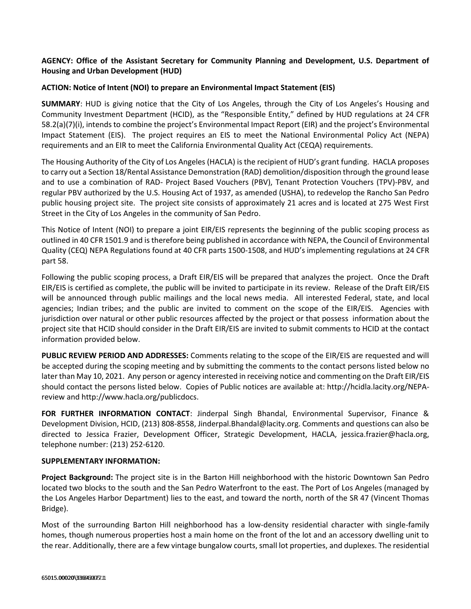## **AGENCY: Office of the Assistant Secretary for Community Planning and Development, U.S. Department of Housing and Urban Development (HUD)**

## **ACTION: Notice of Intent (NOI) to prepare an Environmental Impact Statement (EIS)**

**SUMMARY**: HUD is giving notice that the City of Los Angeles, through the City of Los Angeles's Housing and Community Investment Department (HCID), as the "Responsible Entity," defined by HUD regulations at [24 CFR](https://www.federalregister.gov/select-citation/2016/06/20/24-CFR-58.2)  [58.2\(](https://www.federalregister.gov/select-citation/2016/06/20/24-CFR-58.2)a)(7)(i), intends to combine the project's Environmental Impact Report (EIR) and the project's Environmental Impact Statement (EIS). The project requires an EIS to meet the National Environmental Policy Act (NEPA) requirements and an EIR to meet the California Environmental Quality Act (CEQA) requirements.

The Housing Authority of the City of Los Angeles (HACLA) is the recipient of HUD's grant funding. HACLA proposes to carry out a Section 18/Rental Assistance Demonstration (RAD) demolition/disposition through the ground lease and to use a combination of RAD- Project Based Vouchers (PBV), Tenant Protection Vouchers (TPV)-PBV, and regular PBV authorized by the U.S. Housing Act of 1937, as amended (USHA), to redevelop the Rancho San Pedro public housing project site. The project site consists of approximately 21 acres and is located at 275 West First Street in the City of Los Angeles in the community of San Pedro.

This Notice of Intent (NOI) to prepare a joint EIR/EIS represents the beginning of the public scoping process as outlined in [40 CFR 1501.9](https://www.federalregister.gov/select-citation/2016/06/20/40-CFR-1501.7) and is therefore being published in accordance with NEPA, the Council of Environmental Quality (CEQ) NEPA Regulations found at [40 CFR parts 1500-](https://www.federalregister.gov/select-citation/2016/06/20/40-CFR-1500)1508, and HUD's implementing regulations at [24 CFR](https://www.federalregister.gov/select-citation/2016/06/20/24-CFR-58)  [part 58.](https://www.federalregister.gov/select-citation/2016/06/20/24-CFR-58)

Following the public scoping process, a Draft EIR/EIS will be prepared that analyzes the project. Once the Draft EIR/EIS is certified as complete, the public will be invited to participate in its review. Release of the Draft EIR/EIS will be announced through public mailings and the local news media. All interested Federal, state, and local agencies; Indian tribes; and the public are invited to comment on the scope of the EIR/EIS. Agencies with jurisdiction over natural or other public resources affected by the project or that possess information about the project site that HCID should consider in the Draft EIR/EIS are invited to submit comments to HCID at the contact information provided below.

**PUBLIC REVIEW PERIOD AND ADDRESSES:** Comments relating to the scope of the EIR/EIS are requested and will be accepted during the scoping meeting and by submitting the comments to the contact persons listed below no later than May 10, 2021. Any person or agency interested in receiving notice and commenting on the Draft EIR/EIS should contact the persons listed below. Copies of Public notices are available at: http://hcidla.lacity.org/NEPAreview and http://www.hacla.org/publicdocs.

**FOR FURTHER INFORMATION CONTACT**: Jinderpal Singh Bhandal, Environmental Supervisor, Finance & Development Division, HCID, (213) 808-8558, Jinderpal.Bhandal@lacity.org. Comments and questions can also be directed to Jessica Frazier, Development Officer, Strategic Development, HACLA, jessica.frazier@hacla.org, telephone number: (213) 252-6120.

## **SUPPLEMENTARY INFORMATION:**

**Project Background:** The project site is in the Barton Hill neighborhood with the historic Downtown San Pedro located two blocks to the south and the San Pedro Waterfront to the east. The Port of Los Angeles (managed by the Los Angeles Harbor Department) lies to the east, and toward the north, north of the SR 47 (Vincent Thomas Bridge).

Most of the surrounding Barton Hill neighborhood has a low-density residential character with single-family homes, though numerous properties host a main home on the front of the lot and an accessory dwelling unit to the rear. Additionally, there are a few vintage bungalow courts, small lot properties, and duplexes. The residential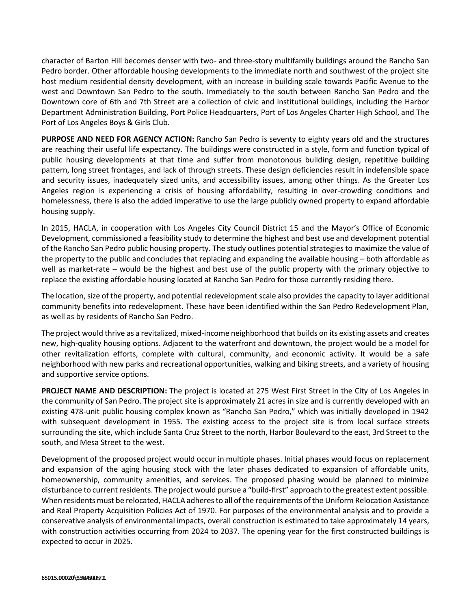character of Barton Hill becomes denser with two- and three-story multifamily buildings around the Rancho San Pedro border. Other affordable housing developments to the immediate north and southwest of the project site host medium residential density development, with an increase in building scale towards Pacific Avenue to the west and Downtown San Pedro to the south. Immediately to the south between Rancho San Pedro and the Downtown core of 6th and 7th Street are a collection of civic and institutional buildings, including the Harbor Department Administration Building, Port Police Headquarters, Port of Los Angeles Charter High School, and The Port of Los Angeles Boys & Girls Club.

**PURPOSE AND NEED FOR AGENCY ACTION:** Rancho San Pedro is seventy to eighty years old and the structures are reaching their useful life expectancy. The buildings were constructed in a style, form and function typical of public housing developments at that time and suffer from monotonous building design, repetitive building pattern, long street frontages, and lack of through streets. These design deficiencies result in indefensible space and security issues, inadequately sized units, and accessibility issues, among other things. As the Greater Los Angeles region is experiencing a crisis of housing affordability, resulting in over-crowding conditions and homelessness, there is also the added imperative to use the large publicly owned property to expand affordable housing supply.

In 2015, HACLA, in cooperation with Los Angeles City Council District 15 and the Mayor's Office of Economic Development, commissioned a feasibility study to determine the highest and best use and development potential of the Rancho San Pedro public housing property. The study outlines potential strategies to maximize the value of the property to the public and concludes that replacing and expanding the available housing – both affordable as well as market-rate – would be the highest and best use of the public property with the primary objective to replace the existing affordable housing located at Rancho San Pedro for those currently residing there.

The location, size of the property, and potential redevelopment scale also provides the capacity to layer additional community benefits into redevelopment. These have been identified within the San Pedro Redevelopment Plan, as well as by residents of Rancho San Pedro.

The project would thrive as a revitalized, mixed-income neighborhood that builds on its existing assets and creates new, high-quality housing options. Adjacent to the waterfront and downtown, the project would be a model for other revitalization efforts, complete with cultural, community, and economic activity. It would be a safe neighborhood with new parks and recreational opportunities, walking and biking streets, and a variety of housing and supportive service options.

**PROJECT NAME AND DESCRIPTION:** The project is located at 275 West First Street in the City of Los Angeles in the community of San Pedro. The project site is approximately 21 acres in size and is currently developed with an existing 478-unit public housing complex known as "Rancho San Pedro," which was initially developed in 1942 with subsequent development in 1955. The existing access to the project site is from local surface streets surrounding the site, which include Santa Cruz Street to the north, Harbor Boulevard to the east, 3rd Street to the south, and Mesa Street to the west.

Development of the proposed project would occur in multiple phases. Initial phases would focus on replacement and expansion of the aging housing stock with the later phases dedicated to expansion of affordable units, homeownership, community amenities, and services. The proposed phasing would be planned to minimize disturbance to current residents. The project would pursue a "build-first" approach to the greatest extent possible. When residents must be relocated, HACLA adheres to all of the requirements of the Uniform Relocation Assistance and Real Property Acquisition Policies Act of 1970. For purposes of the environmental analysis and to provide a conservative analysis of environmental impacts, overall construction is estimated to take approximately 14 years, with construction activities occurring from 2024 to 2037. The opening year for the first constructed buildings is expected to occur in 2025.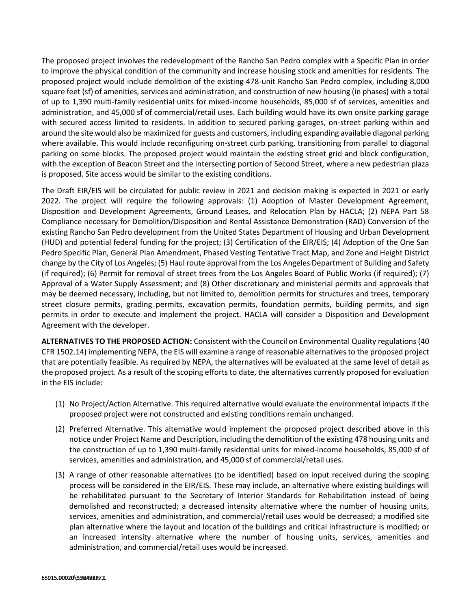The proposed project involves the redevelopment of the Rancho San Pedro complex with a Specific Plan in order to improve the physical condition of the community and increase housing stock and amenities for residents. The proposed project would include demolition of the existing 478-unit Rancho San Pedro complex, including 8,000 square feet (sf) of amenities, services and administration, and construction of new housing (in phases) with a total of up to 1,390 multi-family residential units for mixed-income households, 85,000 sf of services, amenities and administration, and 45,000 sf of commercial/retail uses. Each building would have its own onsite parking garage with secured access limited to residents. In addition to secured parking garages, on-street parking within and around the site would also be maximized for guests and customers, including expanding available diagonal parking where available. This would include reconfiguring on-street curb parking, transitioning from parallel to diagonal parking on some blocks. The proposed project would maintain the existing street grid and block configuration, with the exception of Beacon Street and the intersecting portion of Second Street, where a new pedestrian plaza is proposed. Site access would be similar to the existing conditions.

The Draft EIR/EIS will be circulated for public review in 2021 and decision making is expected in 2021 or early 2022. The project will require the following approvals: (1) Adoption of Master Development Agreement, Disposition and Development Agreements, Ground Leases, and Relocation Plan by HACLA; (2) NEPA Part 58 Compliance necessary for Demolition/Disposition and Rental Assistance Demonstration (RAD) Conversion of the existing Rancho San Pedro development from the United States Department of Housing and Urban Development (HUD) and potential federal funding for the project; (3) Certification of the EIR/EIS; (4) Adoption of the One San Pedro Specific Plan, General Plan Amendment, Phased Vesting Tentative Tract Map, and Zone and Height District change by the City of Los Angeles; (5) Haul route approval from the Los Angeles Department of Building and Safety (if required); (6) Permit for removal of street trees from the Los Angeles Board of Public Works (if required); (7) Approval of a Water Supply Assessment; and (8) Other discretionary and ministerial permits and approvals that may be deemed necessary, including, but not limited to, demolition permits for structures and trees, temporary street closure permits, grading permits, excavation permits, foundation permits, building permits, and sign permits in order to execute and implement the project. HACLA will consider a Disposition and Development Agreement with the developer.

**ALTERNATIVES TO THE PROPOSED ACTION:** Consistent with the Council on Environmental Quality regulations (40 CFR 1502.14) implementing NEPA, the EIS will examine a range of reasonable alternatives to the proposed project that are potentially feasible. As required by NEPA, the alternatives will be evaluated at the same level of detail as the proposed project. As a result of the scoping efforts to date, the alternatives currently proposed for evaluation in the EIS include:

- (1) No Project/Action Alternative. This required alternative would evaluate the environmental impacts if the proposed project were not constructed and existing conditions remain unchanged.
- (2) Preferred Alternative. This alternative would implement the proposed project described above in this notice under Project Name and Description, including the demolition of the existing 478 housing units and the construction of up to 1,390 multi-family residential units for mixed-income households, 85,000 sf of services, amenities and administration, and 45,000 sf of commercial/retail uses.
- (3) A range of other reasonable alternatives (to be identified) based on input received during the scoping process will be considered in the EIR/EIS. These may include, an alternative where existing buildings will be rehabilitated pursuant to the Secretary of Interior Standards for Rehabilitation instead of being demolished and reconstructed; a decreased intensity alternative where the number of housing units, services, amenities and administration, and commercial/retail uses would be decreased; a modified site plan alternative where the layout and location of the buildings and critical infrastructure is modified; or an increased intensity alternative where the number of housing units, services, amenities and administration, and commercial/retail uses would be increased.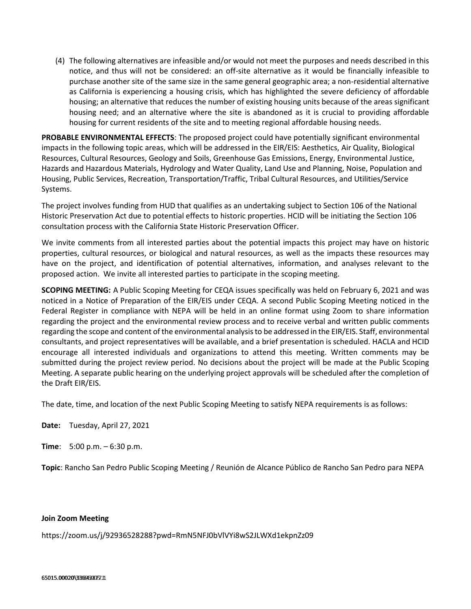(4) The following alternatives are infeasible and/or would not meet the purposes and needs described in this notice, and thus will not be considered: an off-site alternative as it would be financially infeasible to purchase another site of the same size in the same general geographic area; a non-residential alternative as California is experiencing a housing crisis, which has highlighted the severe deficiency of affordable housing; an alternative that reduces the number of existing housing units because of the areas significant housing need; and an alternative where the site is abandoned as it is crucial to providing affordable housing for current residents of the site and to meeting regional affordable housing needs.

**PROBABLE ENVIRONMENTAL EFFECTS**: The proposed project could have potentially significant environmental impacts in the following topic areas, which will be addressed in the EIR/EIS: Aesthetics, Air Quality, Biological Resources, Cultural Resources, Geology and Soils, Greenhouse Gas Emissions, Energy, Environmental Justice, Hazards and Hazardous Materials, Hydrology and Water Quality, Land Use and Planning, Noise, Population and Housing, Public Services, Recreation, Transportation/Traffic, Tribal Cultural Resources, and Utilities/Service Systems.

The project involves funding from HUD that qualifies as an undertaking subject to Section 106 of the National Historic Preservation Act due to potential effects to historic properties. HCID will be initiating the Section 106 consultation process with the California State Historic Preservation Officer.

We invite comments from all interested parties about the potential impacts this project may have on historic properties, cultural resources, or biological and natural resources, as well as the impacts these resources may have on the project, and identification of potential alternatives, information, and analyses relevant to the proposed action. We invite all interested parties to participate in the scoping meeting.

**SCOPING MEETING:** A Public Scoping Meeting for CEQA issues specifically was held on February 6, 2021 and was noticed in a Notice of Preparation of the EIR/EIS under CEQA. A second Public Scoping Meeting noticed in the Federal Register in compliance with NEPA will be held in an online format using Zoom to share information regarding the project and the environmental review process and to receive verbal and written public comments regarding the scope and content of the environmental analysis to be addressed in the EIR/EIS. Staff, environmental consultants, and project representatives will be available, and a brief presentation is scheduled. HACLA and HCID encourage all interested individuals and organizations to attend this meeting. Written comments may be submitted during the project review period. No decisions about the project will be made at the Public Scoping Meeting. A separate public hearing on the underlying project approvals will be scheduled after the completion of the Draft EIR/EIS.

The date, time, and location of the next Public Scoping Meeting to satisfy NEPA requirements is as follows:

**Date:** Tuesday, April 27, 2021

**Time**: 5:00 p.m. – 6:30 p.m.

**Topic**: Rancho San Pedro Public Scoping Meeting / Reunión de Alcance Público de Rancho San Pedro para NEPA

## **Join Zoom Meeting**

https://zoom.us/j/92936528288?pwd=RmN5NFJ0bVlVYi8wS2JLWXd1ekpnZz09